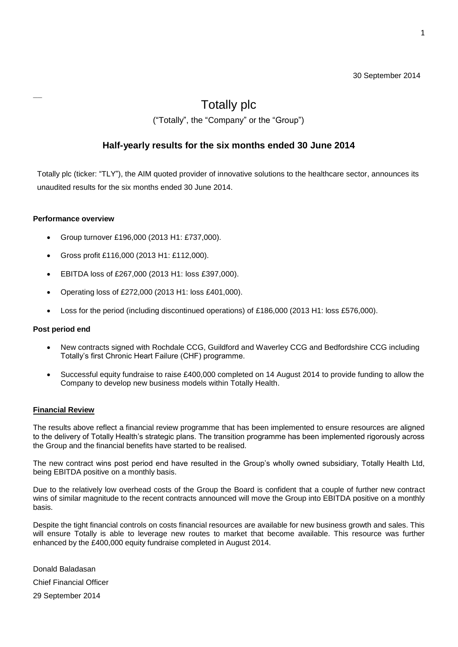### 30 September 2014

# Totally plc

("Totally", the "Company" or the "Group")

# **Half-yearly results for the six months ended 30 June 2014**

Totally plc (ticker: "TLY"), the AIM quoted provider of innovative solutions to the healthcare sector, announces its unaudited results for the six months ended 30 June 2014.

### **Performance overview**

- Group turnover £196,000 (2013 H1: £737,000).
- Gross profit £116,000 (2013 H1: £112,000).
- EBITDA loss of £267,000 (2013 H1: loss £397,000).
- Operating loss of £272,000 (2013 H1: loss £401,000).
- Loss for the period (including discontinued operations) of £186,000 (2013 H1: loss £576,000).

### **Post period end**

- New contracts signed with Rochdale CCG, Guildford and Waverley CCG and Bedfordshire CCG including Totally"s first Chronic Heart Failure (CHF) programme.
- Successful equity fundraise to raise £400,000 completed on 14 August 2014 to provide funding to allow the Company to develop new business models within Totally Health.

### **Financial Review**

The results above reflect a financial review programme that has been implemented to ensure resources are aligned to the delivery of Totally Health"s strategic plans. The transition programme has been implemented rigorously across the Group and the financial benefits have started to be realised.

The new contract wins post period end have resulted in the Group"s wholly owned subsidiary, Totally Health Ltd, being EBITDA positive on a monthly basis.

Due to the relatively low overhead costs of the Group the Board is confident that a couple of further new contract wins of similar magnitude to the recent contracts announced will move the Group into EBITDA positive on a monthly basis.

Despite the tight financial controls on costs financial resources are available for new business growth and sales. This will ensure Totally is able to leverage new routes to market that become available. This resource was further enhanced by the £400,000 equity fundraise completed in August 2014.

Donald Baladasan Chief Financial Officer 29 September 2014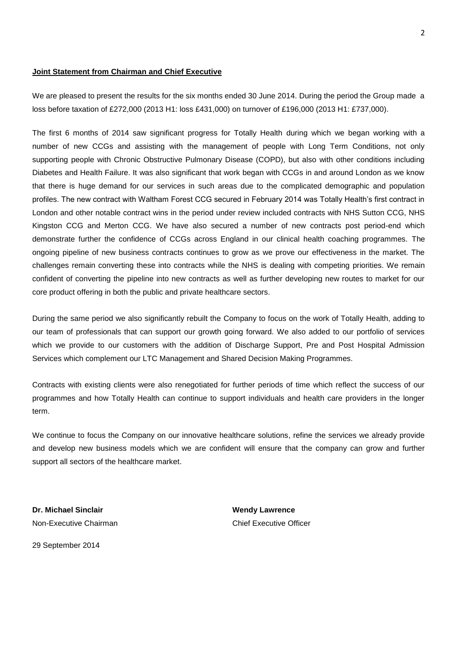#### **Joint Statement from Chairman and Chief Executive**

We are pleased to present the results for the six months ended 30 June 2014. During the period the Group made a loss before taxation of £272,000 (2013 H1: loss £431,000) on turnover of £196,000 (2013 H1: £737,000).

The first 6 months of 2014 saw significant progress for Totally Health during which we began working with a number of new CCGs and assisting with the management of people with Long Term Conditions, not only supporting people with Chronic Obstructive Pulmonary Disease (COPD), but also with other conditions including Diabetes and Health Failure. It was also significant that work began with CCGs in and around London as we know that there is huge demand for our services in such areas due to the complicated demographic and population profiles. The new contract with Waltham Forest CCG secured in February 2014 was Totally Health's first contract in London and other notable contract wins in the period under review included contracts with NHS Sutton CCG, NHS Kingston CCG and Merton CCG. We have also secured a number of new contracts post period-end which demonstrate further the confidence of CCGs across England in our clinical health coaching programmes. The ongoing pipeline of new business contracts continues to grow as we prove our effectiveness in the market. The challenges remain converting these into contracts while the NHS is dealing with competing priorities. We remain confident of converting the pipeline into new contracts as well as further developing new routes to market for our core product offering in both the public and private healthcare sectors.

During the same period we also significantly rebuilt the Company to focus on the work of Totally Health, adding to our team of professionals that can support our growth going forward. We also added to our portfolio of services which we provide to our customers with the addition of Discharge Support, Pre and Post Hospital Admission Services which complement our LTC Management and Shared Decision Making Programmes.

Contracts with existing clients were also renegotiated for further periods of time which reflect the success of our programmes and how Totally Health can continue to support individuals and health care providers in the longer term.

We continue to focus the Company on our innovative healthcare solutions, refine the services we already provide and develop new business models which we are confident will ensure that the company can grow and further support all sectors of the healthcare market.

**Dr. Michael Sinclair Wendy Lawrence** Non-Executive Chairman Chief Executive Officer

29 September 2014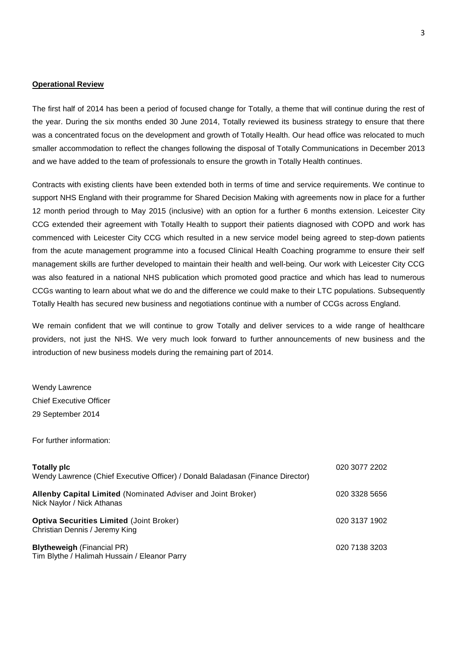#### **Operational Review**

The first half of 2014 has been a period of focused change for Totally, a theme that will continue during the rest of the year. During the six months ended 30 June 2014, Totally reviewed its business strategy to ensure that there was a concentrated focus on the development and growth of Totally Health. Our head office was relocated to much smaller accommodation to reflect the changes following the disposal of Totally Communications in December 2013 and we have added to the team of professionals to ensure the growth in Totally Health continues.

Contracts with existing clients have been extended both in terms of time and service requirements. We continue to support NHS England with their programme for Shared Decision Making with agreements now in place for a further 12 month period through to May 2015 (inclusive) with an option for a further 6 months extension. Leicester City CCG extended their agreement with Totally Health to support their patients diagnosed with COPD and work has commenced with Leicester City CCG which resulted in a new service model being agreed to step-down patients from the acute management programme into a focused Clinical Health Coaching programme to ensure their self management skills are further developed to maintain their health and well-being. Our work with Leicester City CCG was also featured in a national NHS publication which promoted good practice and which has lead to numerous CCGs wanting to learn about what we do and the difference we could make to their LTC populations. Subsequently Totally Health has secured new business and negotiations continue with a number of CCGs across England.

We remain confident that we will continue to grow Totally and deliver services to a wide range of healthcare providers, not just the NHS. We very much look forward to further announcements of new business and the introduction of new business models during the remaining part of 2014.

Wendy Lawrence Chief Executive Officer 29 September 2014

For further information:

| <b>Totally pic</b><br>Wendy Lawrence (Chief Executive Officer) / Donald Baladasan (Finance Director) | 020 3077 2202 |
|------------------------------------------------------------------------------------------------------|---------------|
| <b>Allenby Capital Limited</b> (Nominated Adviser and Joint Broker)<br>Nick Naylor / Nick Athanas    | 020 3328 5656 |
| <b>Optiva Securities Limited (Joint Broker)</b><br>Christian Dennis / Jeremy King                    | 020 3137 1902 |
| <b>Blytheweigh (Financial PR)</b><br>Tim Blythe / Halimah Hussain / Eleanor Parry                    | 020 7138 3203 |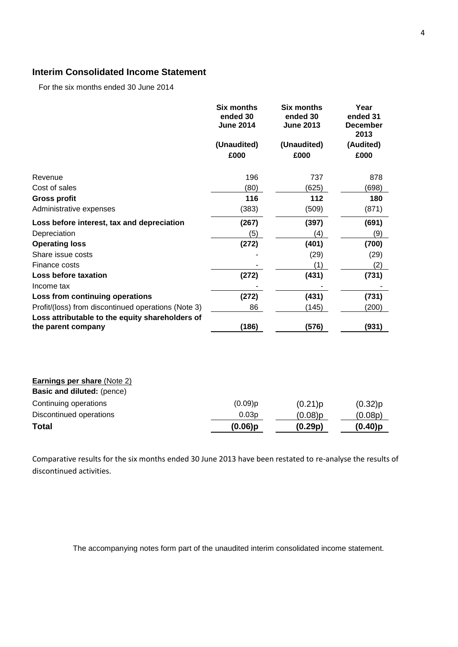# **Interim Consolidated Income Statement**

For the six months ended 30 June 2014

|                                                                       | <b>Six months</b><br>ended 30<br><b>June 2014</b><br>(Unaudited)<br>£000 | <b>Six months</b><br>ended 30<br><b>June 2013</b><br>(Unaudited)<br>£000 | Year<br>ended 31<br><b>December</b><br>2013<br>(Audited)<br>£000 |
|-----------------------------------------------------------------------|--------------------------------------------------------------------------|--------------------------------------------------------------------------|------------------------------------------------------------------|
|                                                                       |                                                                          |                                                                          |                                                                  |
| Revenue                                                               | 196                                                                      | 737                                                                      | 878                                                              |
| Cost of sales                                                         | (80)                                                                     | (625)                                                                    | (698)                                                            |
| <b>Gross profit</b>                                                   | 116                                                                      | 112                                                                      | 180                                                              |
| Administrative expenses                                               | (383)                                                                    | (509)                                                                    | (871)                                                            |
| Loss before interest, tax and depreciation                            | (267)                                                                    | (397)                                                                    | (691)                                                            |
| Depreciation                                                          | (5)                                                                      | (4)                                                                      | (9)                                                              |
| <b>Operating loss</b>                                                 | (272)                                                                    | (401)                                                                    | (700)                                                            |
| Share issue costs                                                     |                                                                          | (29)                                                                     | (29)                                                             |
| Finance costs                                                         |                                                                          | (1)                                                                      | (2)                                                              |
| Loss before taxation                                                  | (272)                                                                    | (431)                                                                    | (731)                                                            |
| Income tax                                                            |                                                                          |                                                                          |                                                                  |
| Loss from continuing operations                                       | (272)                                                                    | (431)                                                                    | (731)                                                            |
| Profit/(loss) from discontinued operations (Note 3)                   | 86                                                                       | (145)                                                                    | (200)                                                            |
| Loss attributable to the equity shareholders of<br>the parent company | (186)                                                                    | (576)                                                                    | (931)                                                            |
| <b>Earnings per share (Note 2)</b><br>Basic and diluted: (pence)      |                                                                          |                                                                          |                                                                  |
| Continuing operations                                                 | (0.09)p                                                                  | (0.21)p                                                                  | (0.32)p                                                          |
| Discontinued operations                                               | 0.03p                                                                    | (0.08)p                                                                  | (0.08p)                                                          |
| Total                                                                 | $(0.06)$ p                                                               | (0.29p)                                                                  | (0.40)p                                                          |

Comparative results for the six months ended 30 June 2013 have been restated to re-analyse the results of discontinued activities.

The accompanying notes form part of the unaudited interim consolidated income statement.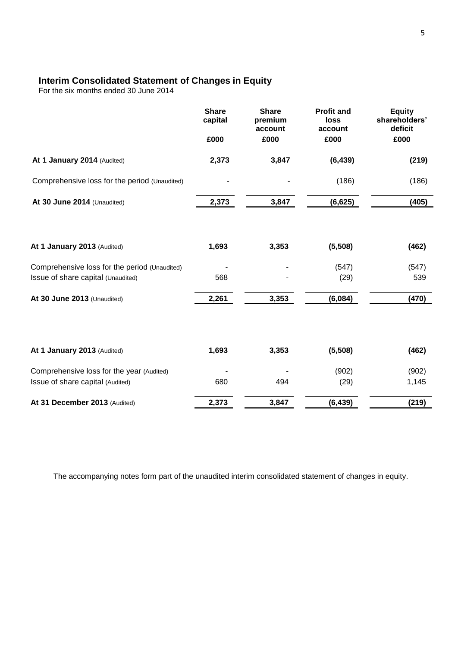# **Interim Consolidated Statement of Changes in Equity**

For the six months ended 30 June 2014

|                                                                                     | <b>Share</b><br>capital | <b>Share</b><br>premium<br>account | <b>Profit and</b><br>loss<br>account | <b>Equity</b><br>shareholders'<br>deficit |
|-------------------------------------------------------------------------------------|-------------------------|------------------------------------|--------------------------------------|-------------------------------------------|
|                                                                                     | £000                    | £000                               | £000                                 | £000                                      |
| At 1 January 2014 (Audited)                                                         | 2,373                   | 3,847                              | (6, 439)                             | (219)                                     |
| Comprehensive loss for the period (Unaudited)                                       |                         |                                    | (186)                                | (186)                                     |
| At 30 June 2014 (Unaudited)                                                         | 2,373                   | 3,847                              | (6, 625)                             | (405)                                     |
| At 1 January 2013 (Audited)                                                         | 1,693                   | 3,353                              | (5,508)                              | (462)                                     |
| Comprehensive loss for the period (Unaudited)<br>Issue of share capital (Unaudited) | 568                     |                                    | (547)<br>(29)                        | (547)<br>539                              |
| At 30 June 2013 (Unaudited)                                                         | 2,261                   | 3,353                              | (6,084)                              | (470)                                     |
| At 1 January 2013 (Audited)                                                         | 1,693                   | 3,353                              | (5,508)                              | (462)                                     |
| Comprehensive loss for the year (Audited)<br>Issue of share capital (Audited)       | 680                     | 494                                | (902)<br>(29)                        | (902)<br>1,145                            |
| At 31 December 2013 (Audited)                                                       | 2,373                   | 3,847                              | (6, 439)                             | (219)                                     |

The accompanying notes form part of the unaudited interim consolidated statement of changes in equity.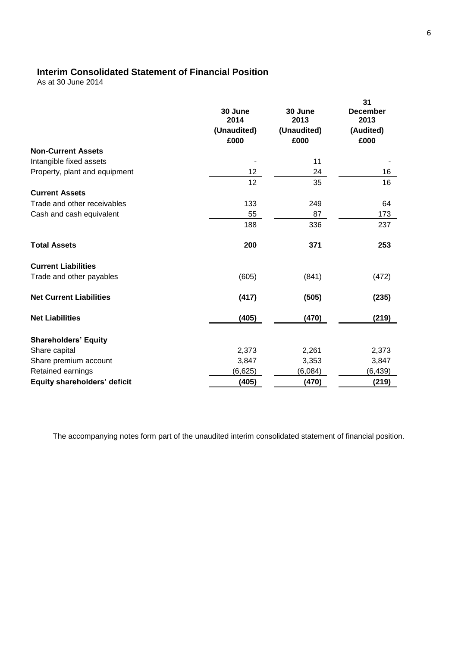# **Interim Consolidated Statement of Financial Position**

As at 30 June 2014

|                                     | 30 June<br>2014<br>(Unaudited)<br>£000 | 30 June<br>2013<br>(Unaudited)<br>£000 | 31<br><b>December</b><br>2013<br>(Audited)<br>£000 |
|-------------------------------------|----------------------------------------|----------------------------------------|----------------------------------------------------|
| <b>Non-Current Assets</b>           |                                        |                                        |                                                    |
| Intangible fixed assets             |                                        | 11                                     |                                                    |
| Property, plant and equipment       | 12 <sub>2</sub>                        | 24                                     | 16                                                 |
|                                     | 12                                     | 35                                     | 16                                                 |
| <b>Current Assets</b>               |                                        |                                        |                                                    |
| Trade and other receivables         | 133                                    | 249                                    | 64                                                 |
| Cash and cash equivalent            | 55                                     | 87                                     | 173                                                |
|                                     | 188                                    | 336                                    | 237                                                |
| <b>Total Assets</b>                 | 200                                    | 371                                    | 253                                                |
| <b>Current Liabilities</b>          |                                        |                                        |                                                    |
| Trade and other payables            | (605)                                  | (841)                                  | (472)                                              |
| <b>Net Current Liabilities</b>      | (417)                                  | (505)                                  | (235)                                              |
| <b>Net Liabilities</b>              | (405)                                  | (470)                                  | (219)                                              |
| <b>Shareholders' Equity</b>         |                                        |                                        |                                                    |
| Share capital                       | 2,373                                  | 2,261                                  | 2,373                                              |
| Share premium account               | 3,847                                  | 3,353                                  | 3,847                                              |
| Retained earnings                   | (6,625)                                | (6,084)                                | (6, 439)                                           |
| <b>Equity shareholders' deficit</b> | (405)                                  | (470)                                  | (219)                                              |

The accompanying notes form part of the unaudited interim consolidated statement of financial position.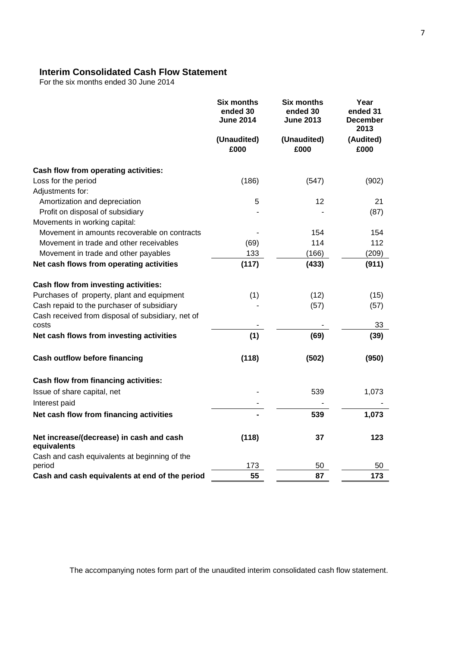# **Interim Consolidated Cash Flow Statement**

For the six months ended 30 June 2014

|                                                            | <b>Six months</b><br>ended 30<br><b>June 2014</b><br>(Unaudited)<br>£000 | <b>Six months</b><br>ended 30<br><b>June 2013</b><br>(Unaudited)<br>£000 | Year<br>ended 31<br><b>December</b><br>2013<br>(Audited)<br>£000 |
|------------------------------------------------------------|--------------------------------------------------------------------------|--------------------------------------------------------------------------|------------------------------------------------------------------|
|                                                            |                                                                          |                                                                          |                                                                  |
| Cash flow from operating activities:                       |                                                                          |                                                                          |                                                                  |
| Loss for the period                                        | (186)                                                                    | (547)                                                                    | (902)                                                            |
| Adjustments for:                                           |                                                                          |                                                                          |                                                                  |
| Amortization and depreciation                              | 5                                                                        | 12                                                                       | 21                                                               |
| Profit on disposal of subsidiary                           |                                                                          |                                                                          | (87)                                                             |
| Movements in working capital:                              |                                                                          |                                                                          |                                                                  |
| Movement in amounts recoverable on contracts               |                                                                          | 154                                                                      | 154                                                              |
| Movement in trade and other receivables                    | (69)                                                                     | 114                                                                      | 112                                                              |
| Movement in trade and other payables                       | 133                                                                      | (166)                                                                    | (209)                                                            |
| Net cash flows from operating activities                   | (117)                                                                    | (433)                                                                    | (911)                                                            |
| Cash flow from investing activities:                       |                                                                          |                                                                          |                                                                  |
| Purchases of property, plant and equipment                 | (1)                                                                      | (12)                                                                     | (15)                                                             |
| Cash repaid to the purchaser of subsidiary                 |                                                                          | (57)                                                                     | (57)                                                             |
| Cash received from disposal of subsidiary, net of<br>costs |                                                                          |                                                                          | 33                                                               |
| Net cash flows from investing activities                   | (1)                                                                      | (69)                                                                     | (39)                                                             |
| <b>Cash outflow before financing</b>                       | (118)                                                                    | (502)                                                                    | (950)                                                            |
| Cash flow from financing activities:                       |                                                                          |                                                                          |                                                                  |
| Issue of share capital, net                                |                                                                          | 539                                                                      | 1,073                                                            |
| Interest paid                                              |                                                                          |                                                                          |                                                                  |
| Net cash flow from financing activities                    |                                                                          | 539                                                                      | 1,073                                                            |
| Net increase/(decrease) in cash and cash<br>equivalents    | (118)                                                                    | 37                                                                       | 123                                                              |
| Cash and cash equivalents at beginning of the              |                                                                          |                                                                          |                                                                  |
| period                                                     | 173                                                                      | 50                                                                       | 50                                                               |
| Cash and cash equivalents at end of the period             | 55                                                                       | 87                                                                       | 173                                                              |

The accompanying notes form part of the unaudited interim consolidated cash flow statement.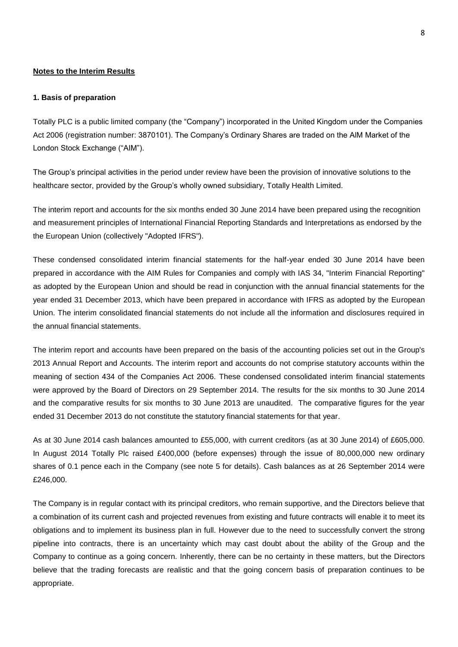### **Notes to the Interim Results**

#### **1. Basis of preparation**

Totally PLC is a public limited company (the "Company") incorporated in the United Kingdom under the Companies Act 2006 (registration number: 3870101). The Company"s Ordinary Shares are traded on the AlM Market of the London Stock Exchange ("AIM").

The Group"s principal activities in the period under review have been the provision of innovative solutions to the healthcare sector, provided by the Group"s wholly owned subsidiary, Totally Health Limited.

The interim report and accounts for the six months ended 30 June 2014 have been prepared using the recognition and measurement principles of International Financial Reporting Standards and Interpretations as endorsed by the the European Union (collectively "Adopted IFRS").

These condensed consolidated interim financial statements for the half-year ended 30 June 2014 have been prepared in accordance with the AIM Rules for Companies and comply with IAS 34, "Interim Financial Reporting" as adopted by the European Union and should be read in conjunction with the annual financial statements for the year ended 31 December 2013, which have been prepared in accordance with IFRS as adopted by the European Union. The interim consolidated financial statements do not include all the information and disclosures required in the annual financial statements.

The interim report and accounts have been prepared on the basis of the accounting policies set out in the Group's 2013 Annual Report and Accounts. The interim report and accounts do not comprise statutory accounts within the meaning of section 434 of the Companies Act 2006. These condensed consolidated interim financial statements were approved by the Board of Directors on 29 September 2014. The results for the six months to 30 June 2014 and the comparative results for six months to 30 June 2013 are unaudited. The comparative figures for the year ended 31 December 2013 do not constitute the statutory financial statements for that year.

As at 30 June 2014 cash balances amounted to £55,000, with current creditors (as at 30 June 2014) of £605,000. In August 2014 Totally Plc raised £400,000 (before expenses) through the issue of 80,000,000 new ordinary shares of 0.1 pence each in the Company (see note 5 for details). Cash balances as at 26 September 2014 were £246,000.

The Company is in regular contact with its principal creditors, who remain supportive, and the Directors believe that a combination of its current cash and projected revenues from existing and future contracts will enable it to meet its obligations and to implement its business plan in full. However due to the need to successfully convert the strong pipeline into contracts, there is an uncertainty which may cast doubt about the ability of the Group and the Company to continue as a going concern. Inherently, there can be no certainty in these matters, but the Directors believe that the trading forecasts are realistic and that the going concern basis of preparation continues to be appropriate.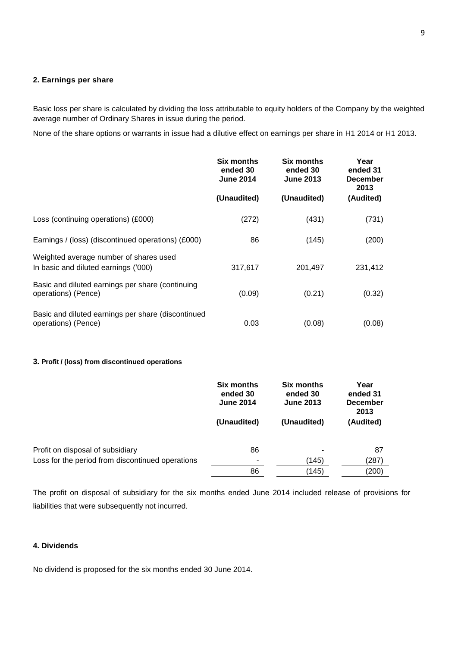## **2. Earnings per share**

Basic loss per share is calculated by dividing the loss attributable to equity holders of the Company by the weighted average number of Ordinary Shares in issue during the period.

None of the share options or warrants in issue had a dilutive effect on earnings per share in H1 2014 or H1 2013.

|                                                                                | <b>Six months</b><br>ended 30<br><b>June 2014</b> | <b>Six months</b><br>ended 30<br><b>June 2013</b> | Year<br>ended 31<br><b>December</b><br>2013 |
|--------------------------------------------------------------------------------|---------------------------------------------------|---------------------------------------------------|---------------------------------------------|
|                                                                                | (Unaudited)                                       | (Unaudited)                                       | (Audited)                                   |
| Loss (continuing operations) (£000)                                            | (272)                                             | (431)                                             | (731)                                       |
| Earnings / (loss) (discontinued operations) (£000)                             | 86                                                | (145)                                             | (200)                                       |
| Weighted average number of shares used<br>In basic and diluted earnings ('000) | 317,617                                           | 201,497                                           | 231,412                                     |
| Basic and diluted earnings per share (continuing<br>operations) (Pence)        | (0.09)                                            | (0.21)                                            | (0.32)                                      |
| Basic and diluted earnings per share (discontinued<br>operations) (Pence)      | 0.03                                              | (0.08)                                            | (0.08)                                      |

#### **3. Profit / (loss) from discontinued operations**

|                                                  | <b>Six months</b><br>ended 30<br><b>June 2014</b><br>(Unaudited) | Six months<br>ended 30<br><b>June 2013</b> | Year<br>ended 31<br><b>December</b><br>2013 |
|--------------------------------------------------|------------------------------------------------------------------|--------------------------------------------|---------------------------------------------|
|                                                  |                                                                  | (Unaudited)                                | (Audited)                                   |
| Profit on disposal of subsidiary                 | 86                                                               |                                            | 87                                          |
| Loss for the period from discontinued operations |                                                                  | (145)                                      | (287)                                       |
|                                                  | 86                                                               | (145)                                      | (200)                                       |

The profit on disposal of subsidiary for the six months ended June 2014 included release of provisions for liabilities that were subsequently not incurred.

### **4. Dividends**

No dividend is proposed for the six months ended 30 June 2014.